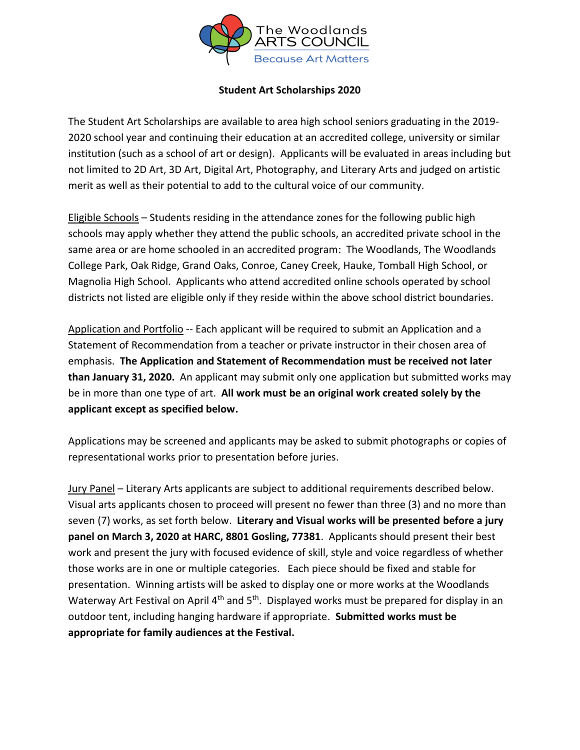

#### **Student Art Scholarships 2020**

The Student Art Scholarships are available to area high school seniors graduating in the 2019- 2020 school year and continuing their education at an accredited college, university or similar institution (such as a school of art or design). Applicants will be evaluated in areas including but not limited to 2D Art, 3D Art, Digital Art, Photography, and Literary Arts and judged on artistic merit as well as their potential to add to the cultural voice of our community.

Eligible Schools – Students residing in the attendance zones for the following public high schools may apply whether they attend the public schools, an accredited private school in the same area or are home schooled in an accredited program: The Woodlands, The Woodlands College Park, Oak Ridge, Grand Oaks, Conroe, Caney Creek, Hauke, Tomball High School, or Magnolia High School. Applicants who attend accredited online schools operated by school districts not listed are eligible only if they reside within the above school district boundaries.

Application and Portfolio -- Each applicant will be required to submit an Application and a Statement of Recommendation from a teacher or private instructor in their chosen area of emphasis. **The Application and Statement of Recommendation must be received not later than January 31, 2020.** An applicant may submit only one application but submitted works may be in more than one type of art. **All work must be an original work created solely by the applicant except as specified below.** 

Applications may be screened and applicants may be asked to submit photographs or copies of representational works prior to presentation before juries.

Jury Panel – Literary Arts applicants are subject to additional requirements described below. Visual arts applicants chosen to proceed will present no fewer than three (3) and no more than seven (7) works, as set forth below. **Literary and Visual works will be presented before a jury panel on March 3, 2020 at HARC, 8801 Gosling, 77381**. Applicants should present their best work and present the jury with focused evidence of skill, style and voice regardless of whether those works are in one or multiple categories. Each piece should be fixed and stable for presentation. Winning artists will be asked to display one or more works at the Woodlands Waterway Art Festival on April 4<sup>th</sup> and 5<sup>th</sup>. Displayed works must be prepared for display in an outdoor tent, including hanging hardware if appropriate. **Submitted works must be appropriate for family audiences at the Festival.**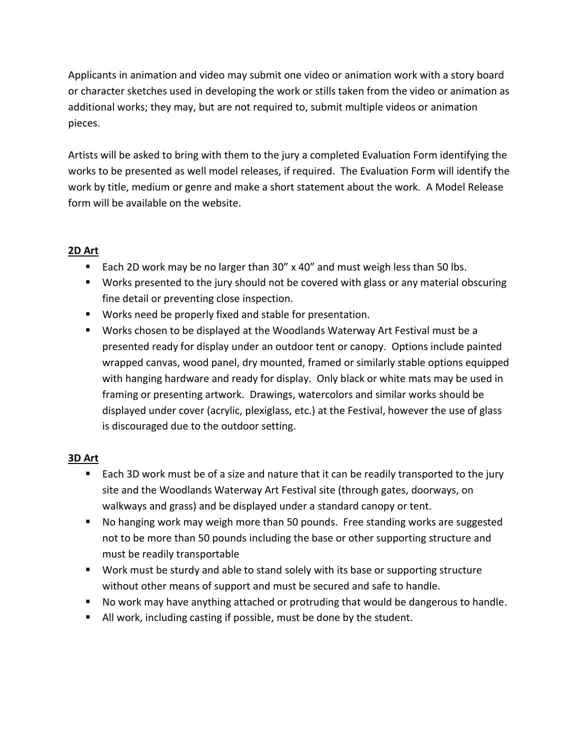Applicants in animation and video may submit one video or animation work with a story board or character sketches used in developing the work or stills taken from the video or animation as additional works; they may, but are not required to, submit multiple videos or animation pieces.

Artists will be asked to bring with them to the jury a completed Evaluation Form identifying the works to be presented as well model releases, if required. The Evaluation Form will identify the work by title, medium or genre and make a short statement about the work. A Model Release form will be available on the website.

# **2D Art**

- Each 2D work may be no larger than 30" x 40" and must weigh less than 50 lbs.
- Works presented to the jury should not be covered with glass or any material obscuring fine detail or preventing close inspection.
- Works need be properly fixed and stable for presentation.
- Works chosen to be displayed at the Woodlands Waterway Art Festival must be a presented ready for display under an outdoor tent or canopy. Options include painted wrapped canvas, wood panel, dry mounted, framed or similarly stable options equipped with hanging hardware and ready for display. Only black or white mats may be used in framing or presenting artwork. Drawings, watercolors and similar works should be displayed under cover (acrylic, plexiglass, etc.) at the Festival, however the use of glass is discouraged due to the outdoor setting.

### **3D Art**

- Each 3D work must be of a size and nature that it can be readily transported to the jury site and the Woodlands Waterway Art Festival site (through gates, doorways, on walkways and grass) and be displayed under a standard canopy or tent.
- No hanging work may weigh more than 50 pounds. Free standing works are suggested not to be more than 50 pounds including the base or other supporting structure and must be readily transportable
- Work must be sturdy and able to stand solely with its base or supporting structure without other means of support and must be secured and safe to handle.
- No work may have anything attached or protruding that would be dangerous to handle.
- All work, including casting if possible, must be done by the student.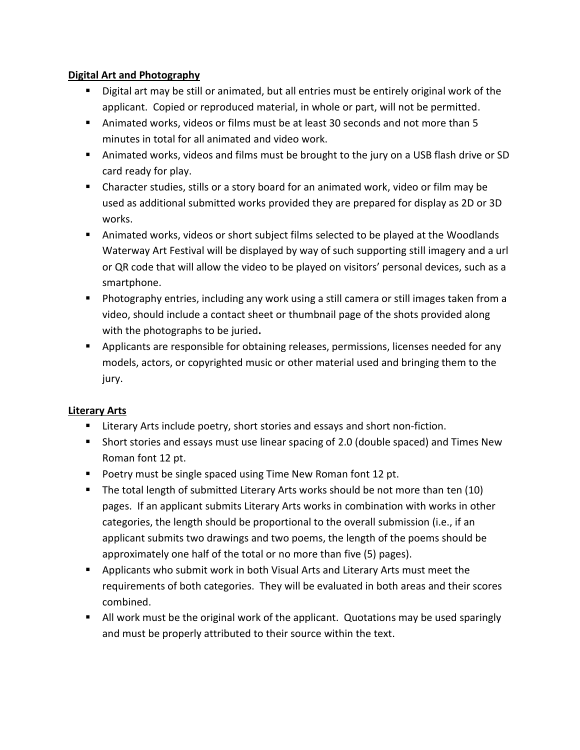### **Digital Art and Photography**

- Digital art may be still or animated, but all entries must be entirely original work of the applicant. Copied or reproduced material, in whole or part, will not be permitted.
- Animated works, videos or films must be at least 30 seconds and not more than 5 minutes in total for all animated and video work.
- Animated works, videos and films must be brought to the jury on a USB flash drive or SD card ready for play.
- Character studies, stills or a story board for an animated work, video or film may be used as additional submitted works provided they are prepared for display as 2D or 3D works.
- Animated works, videos or short subject films selected to be played at the Woodlands Waterway Art Festival will be displayed by way of such supporting still imagery and a url or QR code that will allow the video to be played on visitors' personal devices, such as a smartphone.
- Photography entries, including any work using a still camera or still images taken from a video, should include a contact sheet or thumbnail page of the shots provided along with the photographs to be juried**.**
- **•** Applicants are responsible for obtaining releases, permissions, licenses needed for any models, actors, or copyrighted music or other material used and bringing them to the jury.

### **Literary Arts**

- Literary Arts include poetry, short stories and essays and short non-fiction.
- Short stories and essays must use linear spacing of 2.0 (double spaced) and Times New Roman font 12 pt.
- Poetry must be single spaced using Time New Roman font 12 pt.
- The total length of submitted Literary Arts works should be not more than ten (10) pages. If an applicant submits Literary Arts works in combination with works in other categories, the length should be proportional to the overall submission (i.e., if an applicant submits two drawings and two poems, the length of the poems should be approximately one half of the total or no more than five (5) pages).
- **•** Applicants who submit work in both Visual Arts and Literary Arts must meet the requirements of both categories. They will be evaluated in both areas and their scores combined.
- All work must be the original work of the applicant. Quotations may be used sparingly and must be properly attributed to their source within the text.